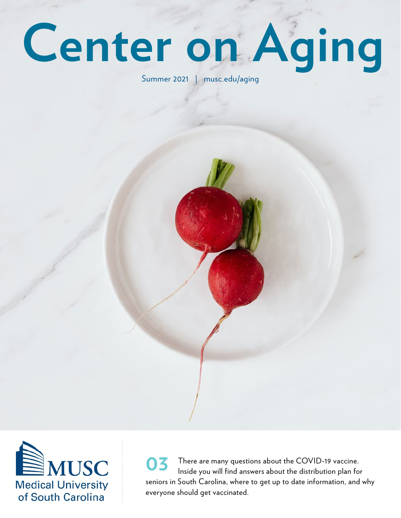# **Center on Aging**

#### Summer 2021 | musc.edu/aging



There are many questions about the COVID-19 vaccine. Inside you will find answers about the distribution plan for seniors in South Carolina, where to get up to date information, and why everyone should get vaccinated. **03**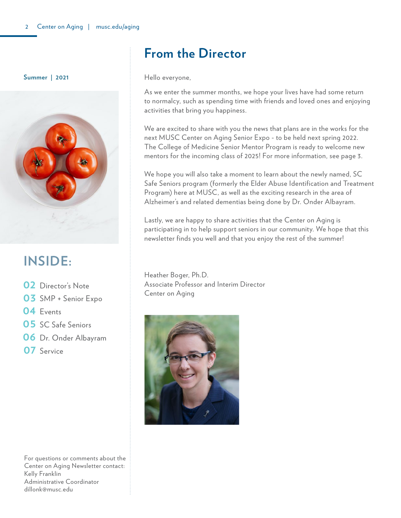**Summer | 2021**



# **INSIDE:**

- **02** Director's Note
- 03 SMP + Senior Expo
- Events **04**
- **05** SC Safe Seniors
- Dr. Onder Albayram **06**
- 07 Service

# **From the Director**

Hello everyone,

As we enter the summer months, we hope your lives have had some return to normalcy, such as spending time with friends and loved ones and enjoying activities that bring you happiness.

We are excited to share with you the news that plans are in the works for the next MUSC Center on Aging Senior Expo - to be held next spring 2022. The College of Medicine Senior Mentor Program is ready to welcome new mentors for the incoming class of 2025! For more information, see page 3.

We hope you will also take a moment to learn about the newly named, SC Safe Seniors program (formerly the Elder Abuse Identification and Treatment Program) here at MUSC, as well as the exciting research in the area of Alzheimer's and related dementias being done by Dr. Onder Albayram.

Lastly, we are happy to share activities that the Center on Aging is participating in to help support seniors in our community. We hope that this newsletter finds you well and that you enjoy the rest of the summer!

Heather Boger, Ph.D. Associate Professor and Interim Director Center on Aging



For questions or comments about the Center on Aging Newsletter contact: Kelly Franklin Administrative Coordinator dillonk@musc.edu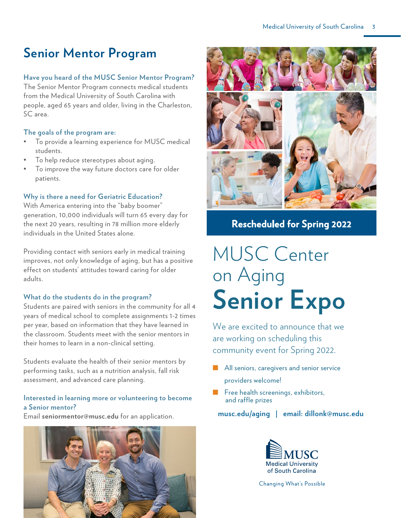# **Senior Mentor Program**

#### **Have you heard of the MUSC Senior Mentor Program?**

The Senior Mentor Program connects medical students from the Medical University of South Carolina with people, aged 65 years and older, living in the Charleston, SC area.

#### **The goals of the program are:**

- To provide a learning experience for MUSC medical students.
- To help reduce stereotypes about aging.
- To improve the way future doctors care for older patients.

#### **Why is there a need for Geriatric Education?**

With America entering into the "baby boomer" generation, 10,000 individuals will turn 65 every day for the next 20 years, resulting in 78 million more elderly individuals in the United States alone.

Providing contact with seniors early in medical training improves, not only knowledge of aging, but has a positive effect on students' attitudes toward caring for older adults.

#### **What do the students do in the program?**

Students are paired with seniors in the community for all 4 years of medical school to complete assignments 1-2 times per year, based on information that they have learned in the classroom. Students meet with the senior mentors in their homes to learn in a non-clinical setting.

Students evaluate the health of their senior mentors by performing tasks, such as a nutrition analysis, fall risk assessment, and advanced care planning.

#### **Interested in learning more or volunteering to become a Senior mentor?**

Email **seniormentor@musc.edu** for an application.





#### **Rescheduled for Spring 2022**

# MUSC Center on Aging **Senior Expo**

We are excited to announce that we are working on scheduling this community event for Spring 2022.

- **n** All seniors, caregivers and senior service providers welcome!
- and raffle prizes  $\blacksquare$  Free health screenings, exhibitors,

#### **musc.edu/aging | email: dillonk@musc.edu**



Changing What's Possible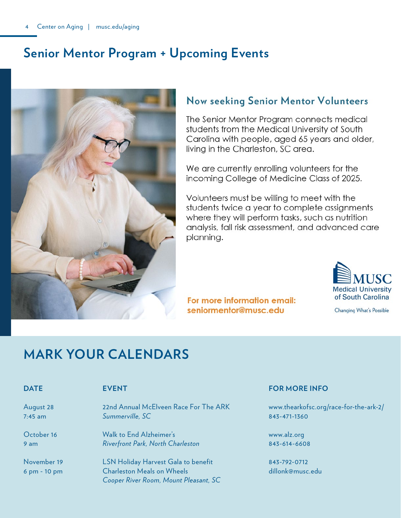## **Senior Mentor Program + Upcoming Events**



#### **Now seeking Senior Mentor Volunteers**

The Senior Mentor Program connects medical students from the Medical University of South Carolina with people, aged 65 years and older, living in the Charleston, SC area.

We are currently enrolling volunteers for the incoming College of Medicine Class of 2025.

Volunteers must be willing to meet with the students twice a year to complete assignments where they will perform tasks, such as nutrition analysis, fall risk assessment, and advanced care planning.

#### For more information email: seniormentor@musc.edu



**Changing What's Possible** 

# **MARK YOUR CALENDARS**

#### **DATE**

**EVENT**

22nd Annual McElveen Race For The ARK *Summerville, SC*

Walk to End Alzheimer's *Riverfront Park, North Charleston*

LSN Holiday Harvest Gala to benefit Charleston Meals on Wheels *Cooper River Room, Mount Pleasant, SC*

#### **FOR MORE INFO**

www.thearkofsc.org/race-for-the-ark-2/ 843-471-1360

www.alz.org 843-614-6608

843-792-0712 dillonk@musc.edu

August 28 7:45 am

October 16 9 am

November 19 6 pm - 10 pm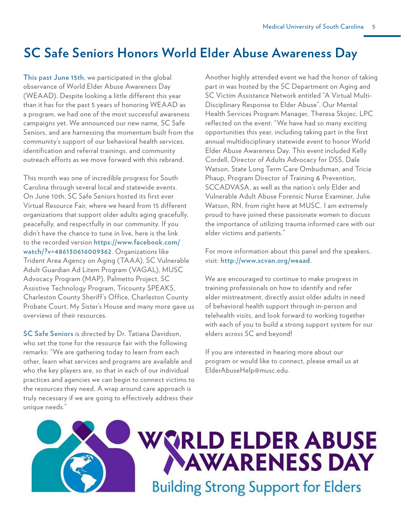# **SC Safe Seniors Honors World Elder Abuse Awareness Day**

**This past June 15th**, we participated in the global observance of World Elder Abuse Awareness Day (WEAAD). Despite looking a little different this year than it has for the past 5 years of honoring WEAAD as a program, we had one of the most successful awareness campaigns yet. We announced our new name, SC Safe Seniors, and are harnessing the momentum built from the community's support of our behavioral health services, identification and referral trainings, and community outreach efforts as we move forward with this rebrand.

This month was one of incredible progress for South Carolina through several local and statewide events. On June 10th, SC Safe Seniors hosted its first ever Virtual Resource Fair, where we heard from 15 different organizations that support older adults aging gracefully, peacefully, and respectfully in our community. If you didn't have the chance to tune in live, here is the link to the recorded version **https://www.facebook.com/ watch/?v=486130616009362**. Organizations like Trident Area Agency on Aging (TAAA), SC Vulnerable Adult Guardian Ad Litem Program (VAGAL), MUSC Advocacy Program (MAP), Palmetto Project, SC Assistive Technology Program, Tricounty SPEAKS, Charleston County Sheriff's Office, Charleston County Probate Court, My Sister's House and many more gave us overviews of their resources.

**SC Safe Seniors** is directed by Dr. Tatiana Davidson, who set the tone for the resource fair with the following remarks: "We are gathering today to learn from each other, learn what services and programs are available and who the key players are, so that in each of our individual practices and agencies we can begin to connect victims to the resources they need. A wrap around care approach is truly necessary if we are going to effectively address their unique needs."

Another highly attended event we had the honor of taking part in was hosted by the SC Department on Aging and SC Victim Assistance Network entitled "A Virtual Multi-Disciplinary Response to Elder Abuse". Our Mental Health Services Program Manager, Theresa Skojec, LPC reflected on the event: "We have had so many exciting opportunities this year, including taking part in the first annual multidisciplinary statewide event to honor World Elder Abuse Awareness Day. This event included Kelly Cordell, Director of Adults Advocacy for DSS, Dale Watson, State Long Term Care Ombudsman, and Tricia Phaup, Program Director of Training & Prevention, SCCADVASA, as well as the nation's only Elder and Vulnerable Adult Abuse Forensic Nurse Examiner, Julie Watson, RN, from right here at MUSC. I am extremely proud to have joined these passionate women to discuss the importance of utilizing trauma informed care with our elder victims and patients."

For more information about this panel and the speakers, visit: **http://www.scvan.org/weaad**.

We are encouraged to continue to make progress in training professionals on how to identify and refer elder mistreatment, directly assist older adults in need of behavioral health support through in-person and telehealth visits, and look forward to working together with each of you to build a strong support system for our elders across SC and beyond!

If you are interested in hearing more about our program or would like to connect, please email us at ElderAbuseHelp@musc.edu.

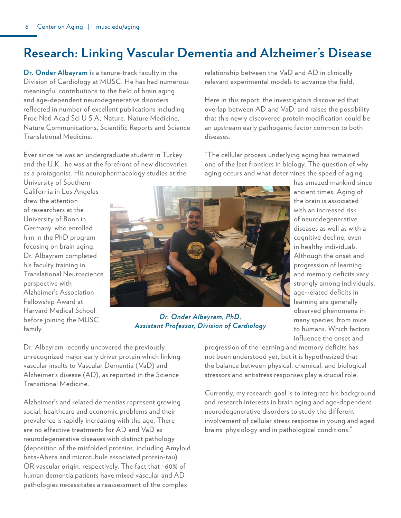# **Research: Linking Vascular Dementia and Alzheimer's Disease**

**Dr. Onder Albayram i**s a tenure-track faculty in the Division of Cardiology at MUSC. He has had numerous meaningful contributions to the field of brain aging and age-dependent neurodegenerative disorders reflected in number of excellent publications including Proc Natl Acad Sci U S A, Nature, Nature Medicine, Nature Communications, Scientific Reports and Science Translational Medicine.

Ever since he was an undergraduate student in Turkey and the U.K., he was at the forefront of new discoveries as a protagonist. His neuropharmacology studies at the

University of Southern California in Los Angeles drew the attention of researchers at the University of Bonn in Germany, who enrolled him in the PhD program focusing on brain aging. Dr. Albayram completed his faculty training in Translational Neuroscience perspective with Alzheimer's Association Fellowship Award at Harvard Medical School before joining the MUSC family.



*Dr. Onder Albayram, PhD, Assistant Professor, Division of Cardiology* 

relationship between the VaD and AD in clinically relevant experimental models to advance the field.

Here in this report, the investigators discovered that overlap between AD and VaD, and raises the possibility that this newly discovered protein modification could be an upstream early pathogenic factor common to both diseases.

"The cellular process underlying aging has remained one of the last frontiers in biology. The question of why aging occurs and what determines the speed of aging

> has amazed mankind since ancient times. Aging of the brain is associated with an increased risk of neurodegenerative diseases as well as with a cognitive decline, even in healthy individuals. Although the onset and progression of learning and memory deficits vary strongly among individuals, age-related deficits in learning are generally observed phenomena in many species, from mice to humans. Which factors influence the onset and

Dr. Albayram recently uncovered the previously unrecognized major early driver protein which linking vascular insults to Vascular Dementia (VaD) and Alzheimer's disease (AD), as reported in the Science Transitional Medicine.

Alzheimer's and related dementias represent growing social, healthcare and economic problems and their prevalence is rapidly increasing with the age. There are no effective treatments for AD and VaD as neurodegenerative diseases with distinct pathology (deposition of the misfolded proteins, including Amyloid beta-Abeta and microtubule associated protein-tau) OR vascular origin, respectively. The fact that ~60% of human dementia patients have mixed vascular and AD pathologies necessitates a reassessment of the complex

progression of the learning and memory deficits has not been understood yet, but it is hypothesized that the balance between physical, chemical, and biological stressors and antistress responses play a crucial role.

Currently, my research goal is to integrate his background and research interests in brain aging and age-dependent neurodegenerative disorders to study the different involvement of cellular stress response in young and aged brains' physiology and in pathological conditions."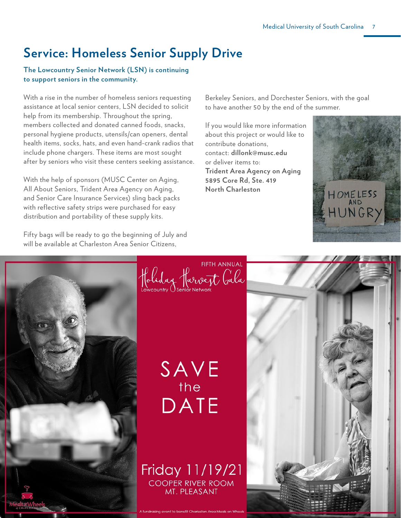# **Service: Homeless Senior Supply Drive**

#### **The Lowcountry Senior Network (LSN) is continuing to support seniors in the community.**

With a rise in the number of homeless seniors requesting assistance at local senior centers, LSN decided to solicit help from its membership. Throughout the spring, members collected and donated canned foods, snacks, personal hygiene products, utensils/can openers, dental health items, socks, hats, and even hand-crank radios that include phone chargers. These items are most sought after by seniors who visit these centers seeking assistance.

With the help of sponsors (MUSC Center on Aging, All About Seniors, Trident Area Agency on Aging, and Senior Care Insurance Services) sling back packs with reflective safety strips were purchased for easy distribution and portability of these supply kits.

Fifty bags will be ready to go the beginning of July and will be available at Charleston Area Senior Citizens,

Berkeley Seniors, and Dorchester Seniors, with the goal to have another 50 by the end of the summer.

If you would like more information about this project or would like to contribute donations, contact: **dillonk@musc.edu** or deliver items to: **Trident Area Agency on Aging 5895 Core Rd, Ste. 419 North Charleston**





**FIFTH ANNUAL** Holiday Harveyt Gala

# SAVE the **DATE**

Friday 11/19/21 **COOPER RIVER ROOM** MT. PLEASANT

rleston Area Meak on Wr